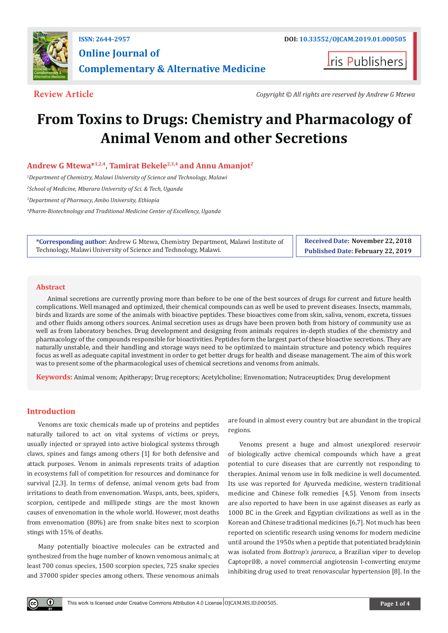

**Iris Publishers** 

**Review Article** *Copyright © All rights are reserved by Andrew G Mtewa*

# **From Toxins to Drugs: Chemistry and Pharmacology of Animal Venom and other Secretions**

# **Andrew G Mtewa\*1,2,4, Tamirat Bekele2,3,4 and Annu Amanjot2**

<sup>1</sup>Department of Chemistry, Malawi University of Science and Technology, Malawi

*2 School of Medicine, Mbarara University of Sci. & Tech, Uganda* 

*3 Department of Pharmacy, Ambo University, Ethiopia* 

*4 Pharm-Biotechnology and Traditional Medicine Center of Excellency, Uganda*

| *Corresponding author: Andrew G Mtewa, Chemistry Department, Malawi Institute of | <b>Received Date: November 22, 2018</b> |
|----------------------------------------------------------------------------------|-----------------------------------------|
| Technology, Malawi University of Science and Technology, Malawi.                 | Published Date: February 22, 2019       |

# **Abstract**

Animal secretions are currently proving more than before to be one of the best sources of drugs for current and future health complications. Well managed and optimized, their chemical compounds can as well be used to prevent diseases. Insects, mammals, birds and lizards are some of the animals with bioactive peptides. These bioactives come from skin, saliva, venom, excreta, tissues and other fluids among others sources. Animal secretion uses as drugs have been proven both from history of community use as well as from laboratory benches. Drug development and designing from animals requires in-depth studies of the chemistry and pharmacology of the compounds responsible for bioactivities. Peptides form the largest part of these bioactive secretions. They are naturally unstable, and their handling and storage ways need to be optimized to maintain structure and potency which requires focus as well as adequate capital investment in order to get better drugs for health and disease management. The aim of this work was to present some of the pharmacological uses of chemical secretions and venoms from animals.

**Keywords:** Animal venom; Apitherapy; Drug receptors; Acetylcholine; Envenomation; Nutraceuptides; Drug development

# **Introduction**

Venoms are toxic chemicals made up of proteins and peptides naturally tailored to act on vital systems of victims or preys, usually injected or sprayed into active biological systems through claws, spines and fangs among others [1] for both defensive and attack purposes. Venom in animals represents traits of adaption in ecosystems full of competition for resources and dominance for survival [2,3]. In terms of defense, animal venom gets bad from irritations to death from envenomation. Wasps, ants, bees, spiders, scorpion, centipede and millipede stings are the most known causes of envenomation in the whole world. However, most deaths from envenomation (80%) are from snake bites next to scorpion stings with 15% of deaths.

Many potentially bioactive molecules can be extracted and synthesized from the huge number of known venomous animals; at least 700 conus species, 1500 scorpion species, 725 snake species and 37000 spider species among others. These venomous animals are found in almost every country but are abundant in the tropical regions.

Venoms present a huge and almost unexplored reservoir of biologically active chemical compounds which have a great potential to cure diseases that are currently not responding to therapies. Animal venom use in folk medicine is well documented. Its use was reported for Ayurveda medicine, western traditional medicine and Chinese folk remedies [4,5]. Venom from insects are also reported to have been in use against diseases as early as 1000 BC in the Greek and Egyptian civilizations as well as in the Korean and Chinese traditional medicines [6,7]. Not much has been reported on scientific research using venoms for modern medicine until around the 1950s when a peptide that potentiated bradykinin was isolated from *Bottrop's jararaca*, a Brazilian viper to develop Captopril®, a novel commercial angiotensin I-converting enzyme inhibiting drug used to treat renovascular hypertension [8]. In the

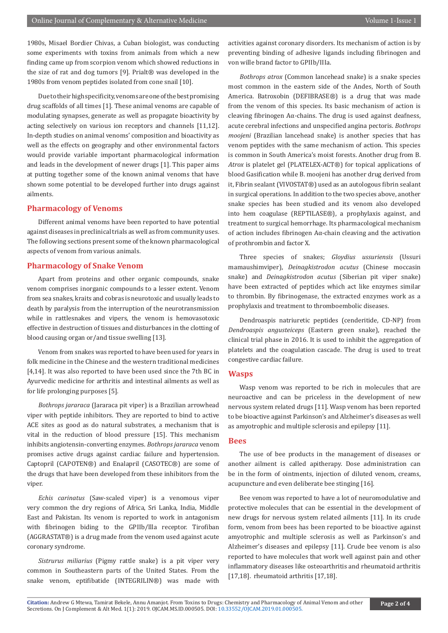1980s, Misael Bordier Chivas, a Cuban biologist, was conducting some experiments with toxins from animals from which a new finding came up from scorpion venom which showed reductions in the size of rat and dog tumors [9]. Prialt® was developed in the 1980s from venom peptides isolated from cone snail [10].

Due to their high specificity, venoms are one of the best promising drug scaffolds of all times [1]. These animal venoms are capable of modulating synapses, generate as well as propagate bioactivity by acting selectively on various ion receptors and channels [11,12]. In-depth studies on animal venoms' composition and bioactivity as well as the effects on geography and other environmental factors would provide variable important pharmacological information and leads in the development of newer drugs [1]. This paper aims at putting together some of the known animal venoms that have shown some potential to be developed further into drugs against ailments.

# **Pharmacology of Venoms**

Different animal venoms have been reported to have potential against diseases in preclinical trials as well as from community uses. The following sections present some of the known pharmacological aspects of venom from various animals.

# **Pharmacology of Snake Venom**

Apart from proteins and other organic compounds, snake venom comprises inorganic compounds to a lesser extent. Venom from sea snakes, kraits and cobras is neurotoxic and usually leads to death by paralysis from the interruption of the neurotransmission while in rattlesnakes and vipers, the venom is hemovasotoxic effective in destruction of tissues and disturbances in the clotting of blood causing organ or/and tissue swelling [13].

Venom from snakes was reported to have been used for years in folk medicine in the Chinese and the western traditional medicines [4,14]. It was also reported to have been used since the 7th BC in Ayurvedic medicine for arthritis and intestinal ailments as well as for life prolonging purposes [5].

*Bothrops jararaca* (Jararaca pit viper) is a Brazilian arrowhead viper with peptide inhibitors. They are reported to bind to active ACE sites as good as do natural substrates, a mechanism that is vital in the reduction of blood pressure [15]. This mechanism inhibits angiotensin-converting enzymes. *Bothrops jararaca* venom promises active drugs against cardiac failure and hypertension. Captopril (CAPOTEN®) and Enalapril (CASOTEC®) are some of the drugs that have been developed from these inhibitors from the viper.

*Echis carinatus* (Saw-scaled viper) is a venomous viper very common the dry regions of Africa, Sri Lanka, India, Middle East and Pakistan. Its venom is reported to work in antagonism with fibrinogen biding to the GPIIb/llla receptor. Tirofiban (AGGRASTAT®) is a drug made from the venom used against acute coronary syndrome.

*Sistrurus miliarius* (Pigmy rattle snake) is a pit viper very common in Southeastern parts of the United States. From the snake venom, eptifibatide (INTEGRILIN®) was made with

activities against coronary disorders. Its mechanism of action is by preventing binding of adhesive ligands including fibrinogen and von wille brand factor to GPIIb/IIIa.

*Bothrops atrox* (Common lancehead snake) is a snake species most common in the eastern side of the Andes, North of South America. Batroxobin (DEFIBRASE®) is a drug that was made from the venom of this species. Its basic mechanism of action is cleaving fibrinogen Aα-chains. The drug is used against deafness, acute cerebral infections and unspecified angina pectoris. *Bothrops moojeni* (Brazilian lancehead snake) is another species that has venom peptides with the same mechanism of action. This species is common in South America's moist forests. Another drug from B. *Atrox* is platelet gel (PLATELEX-ACT®) for topical applications of blood Gasification while B. moojeni has another drug derived from it, Fibrin sealant (VIVOSTAT®) used as an autologous fibrin sealant in surgical operations. In addition to the two species above, another snake species has been studied and its venom also developed into hem coagulase (REPTILASE®), a prophylaxis against, and treatment to surgical hemorrhage. Its pharmacological mechanism of action includes fibrinogen Aα-chain cleaving and the activation of prothrombin and factor X.

Three species of snakes; *Gloydius ussuriensis* (Ussuri mamaushimviper), *Deinagkistrodon acutus* (Chinese moccasin snake) and *Deinagkistrodon acutus* (Siberian pit viper snake) have been extracted of peptides which act like enzymes similar to thrombin. By fibrinogenase, the extracted enzymes work as a prophylaxis and treatment to thromboembolic diseases.

Dendroaspis natriuretic peptides (cenderitide, CD-NP) from *Dendroaspis angusteiceps* (Eastern green snake), reached the clinical trial phase in 2016. It is used to inhibit the aggregation of platelets and the coagulation cascade. The drug is used to treat congestive cardiac failure.

# **Wasps**

Wasp venom was reported to be rich in molecules that are neuroactive and can be priceless in the development of new nervous system related drugs [11]. Wasp venom has been reported to be bioactive against Parkinson's and Alzheimer's diseases as well as amyotrophic and multiple sclerosis and epilepsy [11].

## **Bees**

The use of bee products in the management of diseases or another ailment is called apitherapy. Dose administration can be in the form of ointments, injection of diluted venom, creams, acupuncture and even deliberate bee stinging [16].

Bee venom was reported to have a lot of neuromodulative and protective molecules that can be essential in the development of new drugs for nervous system related ailments [11]. In its crude form, venom from bees has been reported to be bioactive against amyotrophic and multiple sclerosis as well as Parkinson's and Alzheimer's diseases and epilepsy [11]. Crude bee venom is also reported to have molecules that work well against pain and other inflammatory diseases like osteoarthritis and rheumatoid arthritis [17,18]. rheumatoid arthritis [17,18].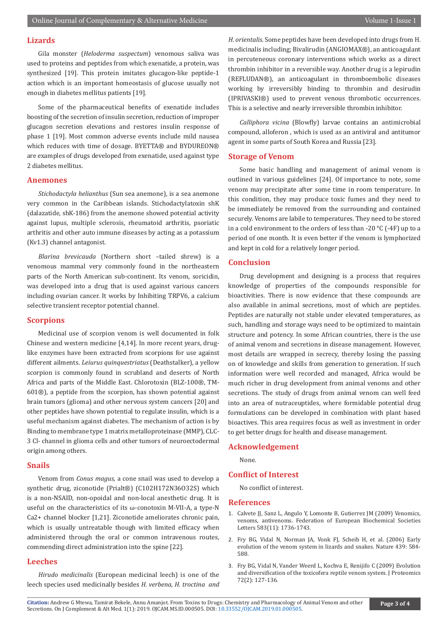# **Lizards**

Gila monster (*Heloderma suspectum*) venomous saliva was used to proteins and peptides from which exenatide, a protein, was synthesized [19]. This protein imitates glucagon-like peptide-1 action which is an important homeostasis of glucose usually not enough in diabetes mellitus patients [19].

Some of the pharmaceutical benefits of exenatide includes boosting of the secretion of insulin secretion, reduction of improper glucagon secretion elevations and restores insulin response of phase 1 [19]. Most common adverse events include mild nausea which reduces with time of dosage. BYETTA® and BYDUREON® are examples of drugs developed from exenatide, used against type 2 diabetes mellitus.

#### **Anemones**

*Stichodactyla helianthus* (Sun sea anemone), is a sea anemone very common in the Caribbean islands. Stichodactylatoxin shK (dalazatide, shK-186) from the anemone showed potential activity against lupus, multiple sclerosis, rheumatoid arthritis, psoriatic arthritis and other auto immune diseases by acting as a potassium (Kv1.3) channel antagonist.

*Blarina brevicauda* (Northern short –tailed shrew) is a venomous mammal very commonly found in the northeastern parts of the North American sub-continent. Its venom, soricidin, was developed into a drug that is used against various cancers including ovarian cancer. It works by Inhibiting TRPV6, a calcium selective transient receptor potential channel.

# **Scorpions**

Medicinal use of scorpion venom is well documented in folk Chinese and western medicine [4,14]. In more recent years, druglike enzymes have been extracted from scorpions for use against different ailments. *Leiurus quinquestriatus* (Deathstalker), a yellow scorpion is commonly found in scrubland and deserts of North Africa and parts of the Middle East. Chlorotoxin (BLZ-100®, TM-601®), a peptide from the scorpion, has shown potential against brain tumors (glioma) and other nervous system cancers [20] and other peptides have shown potential to regulate insulin, which is a useful mechanism against diabetes. The mechanism of action is by Binding to membrane type 1 matrix metalloproteinase (MMP), CLC-3 Cl- channel in glioma cells and other tumors of neuroectodermal origin among others.

#### **Snails**

Venom from *Conus magus*, a cone snail was used to develop a synthetic drug, ziconotide (Prialt®) (C102H172N36O32S) which is a non-NSAID, non-opoidal and non-local anesthetic drug. It is useful on the characteristics of its ω-conotoxin M-VII-A, a type-N Ca2+ channel blocker [1,21]. Ziconotide ameliorates chronic pain, which is usually untreatable though with limited efficacy when administered through the oral or common intravenous routes, commending direct administration into the spine [22].

#### **Leeches**

*Hirudo medicinalis* (European medicinal leech) is one of the leech species used medicinally besides *H. verbena, H. troctina and*  *H. orientalis.* Some peptides have been developed into drugs from H. medicinalis including; Bivalirudin (ANGIOMAX®), an anticoagulant in percuteneous coronary interventions which works as a direct thrombin inhibitor in a reversible way. Another drug is a lepirudin (REFLUDAN®), an anticoagulant in thromboembolic diseases working by irreversibly binding to thrombin and desirudin (IPRIVASKI®) used to prevent venous thrombotic occurrences. This is a selective and nearly irreversible thrombin inhibitor.

*Calliphora vicina* (Blowfly) larvae contains an antimicrobial compound, alloferon , which is used as an antiviral and antitumor agent in some parts of South Korea and Russia [23].

#### **Storage of Venom**

Some basic handling and management of animal venom is outlined in various guidelines [24]. Of importance to note, some venom may precipitate after some time in room temperature. In this condition, they may produce toxic fumes and they need to be immediately be removed from the surrounding and contained securely. Venoms are labile to temperatures. They need to be stored in a cold environment to the orders of less than -20 °C (-4F) up to a period of one month. It is even better if the venom is lymphorized and kept in cold for a relatively longer period.

#### **Conclusion**

Drug development and designing is a process that requires knowledge of properties of the compounds responsible for bioactivities. There is now evidence that these compounds are also available in animal secretions, most of which are peptides. Peptides are naturally not stable under elevated temperatures, as such, handling and storage ways need to be optimized to maintain structure and potency. In some African countries, there is the use of animal venom and secretions in disease management. However, most details are wrapped in secrecy, thereby losing the passing on of knowledge and skills from generation to generation. If such information were well recorded and managed, Africa would be much richer in drug development from animal venoms and other secretions. The study of drugs from animal venom can well feed into an area of nutraceuptides, where formidable potential drug formulations can be developed in combination with plant based bioactives. This area requires focus as well as investment in order to get better drugs for health and disease management.

# **Acknowledgement**

None.

# **Conflict of Interest**

No conflict of interest.

#### **References**

- 1. [Calvete JJ, Sanz L, Angulo Y, Lomonte B, Gutierrez JM \(2009\) Venomics,](https://www.sciencedirect.com/science/article/pii/S0014579309002142) [venoms, antivenoms. Federation of European Biochemical Societies](https://www.sciencedirect.com/science/article/pii/S0014579309002142) [Letters 583\(11\): 1736-1743.](https://www.sciencedirect.com/science/article/pii/S0014579309002142)
- 2. [Fry BG, Vidal N, Norman JA, Vonk FJ, Scheib H, et al. \(2006\) Early](https://www.nature.com/articles/nature04328) [evolution of the venom system in lizards and snakes. Nature 439: 584-](https://www.nature.com/articles/nature04328) [588.](https://www.nature.com/articles/nature04328)
- 3. [Fry BG, Vidal N, Vander Weerd L, Kochva E, Renijifo C \(2009\) Evolution](https://www.ncbi.nlm.nih.gov/pubmed/19457354) [and diversification of the toxicofera reptile venom system. J Proteomics](https://www.ncbi.nlm.nih.gov/pubmed/19457354) [72\(2\): 127-136.](https://www.ncbi.nlm.nih.gov/pubmed/19457354)